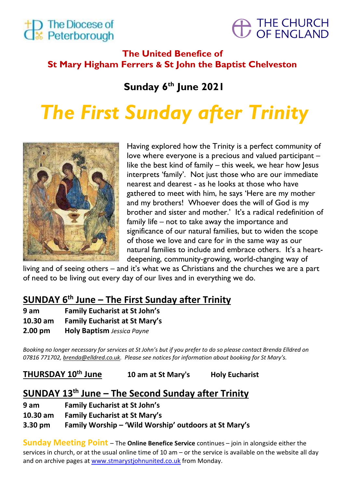



# **The United Benefice of St Mary Higham Ferrers & St John the Baptist Chelveston**

**Sunday 6 th June 2021**

# *The First Sunday after Trinity*



Having explored how the Trinity is a perfect community of love where everyone is a precious and valued participant – like the best kind of family – this week, we hear how Jesus interprets 'family'. Not just those who are our immediate nearest and dearest - as he looks at those who have gathered to meet with him, he says 'Here are my mother and my brothers! Whoever does the will of God is my brother and sister and mother.' It's a radical redefinition of family life – not to take away the importance and significance of our natural families, but to widen the scope of those we love and care for in the same way as our natural families to include and embrace others. It's a heartdeepening, community-growing, world-changing way of

living and of seeing others – and it's what we as Christians and the churches we are a part of need to be living out every day of our lives and in everything we do.

# **SUNDAY 6 th June – The First Sunday after Trinity**

**9 am Family Eucharist at St John's** 

**10.30 am Family Eucharist at St Mary's** 

**2.00 pm Holy Baptism** *Jessica Payne*

*Booking no longer necessary for services at St John's but if you prefer to do so please contact Brenda Elldred on 07816 771702[, brenda@elldred.co.uk](mailto:brenda@elldred.co.uk). Please see notices for information about booking for St Mary's.*

**THURSDAY 10th June 10 am at St Mary's Holy Eucharist**

# **SUNDAY 13 th June – The Second Sunday after Trinity**

- **9 am Family Eucharist at St John's**
- **10.30 am Family Eucharist at St Mary's**

**3.30 pm Family Worship – 'Wild Worship' outdoors at St Mary's**

**Sunday Meeting Point** – The **Online Benefice Service** continues – join in alongside either the services in church, or at the usual online time of 10 am – or the service is available on the website all day and on archive pages at www.stmarystjohnunited.co.uk from Monday.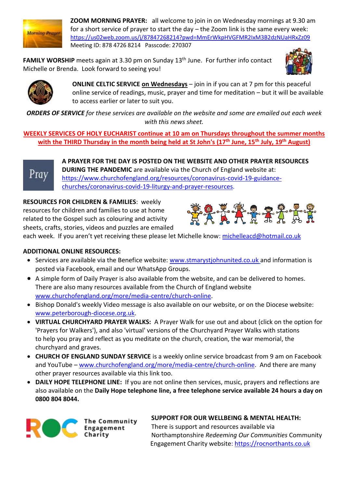

**ZOOM MORNING PRAYER:** all welcome to join in on Wednesday mornings at 9.30 am for a short service of prayer to start the day – the Zoom link is the same every week: <https://us02web.zoom.us/j/87847268214?pwd=MmErWkpHVGFMR2IxM3B2dzNUaHRxZz09> Meeting ID: 878 4726 8214 Passcode: 270307

FAMILY WORSHIP meets again at 3.30 pm on Sunday 13<sup>th</sup> June. For further info contact Michelle or Brenda. Look forward to seeing you!





**ONLINE CELTIC SERVICE on Wednesdays** – join in if you can at 7 pm for this peaceful online service of readings, music, prayer and time for meditation – but it will be available to access earlier or later to suit you.

*ORDERS OF SERVICE for these services are available on the website and some are emailed out each week with this news sheet.*

**WEEKLY SERVICES OF HOLY EUCHARIST continue at 10 am on Thursdays throughout the summer months with the THIRD Thursday in the month being held at St John's (17th June, 15th July, 19th August)**



**A PRAYER FOR THE DAY IS POSTED ON THE WEBSITE AND OTHER PRAYER RESOURCES DURING THE PANDEMIC** are available via the Church of England website at: [https://www.churchofengland.org/resources/coronavirus-covid-19-guidance](https://www.churchofengland.org/resources/coronavirus-covid-19-guidance-churches/coronavirus-covid-19-liturgy-and-prayer-resources)[churches/coronavirus-covid-19-liturgy-and-prayer-resources.](https://www.churchofengland.org/resources/coronavirus-covid-19-guidance-churches/coronavirus-covid-19-liturgy-and-prayer-resources)

**RESOURCES FOR CHILDREN & FAMILIES**: weekly resources for children and families to use at home related to the Gospel such as colouring and activity sheets, crafts, stories, videos and puzzles are emailed



each week. If you aren't yet receiving these please let Michelle know: [michelleacd@hotmail.co.uk](mailto:michelleacd@hotmail.co.uk)

#### **ADDITIONAL ONLINE RESOURCES:**

- Services are available via the Benefice website: [www.stmarystjohnunited.co.uk](http://www.stmarystjohnunited.co.uk/) and information is posted via Facebook, email and our WhatsApp Groups.
- A simple form of Daily Prayer is also available from the website, and can be delivered to homes. There are also many resources available from the Church of England website [www.churchofengland.org/more/media-centre/church-online.](http://www.churchofengland.org/more/media-centre/church-online)
- Bishop Donald's weekly Video message is also available on our website, or on the Diocese website: [www.peterborough-diocese.org.uk.](http://www.peterborough-diocese.org.uk/)
- **VIRTUAL CHURCHYARD PRAYER WALKS:** A Prayer Walk for use out and about (click on the option for 'Prayers for Walkers'), and also 'virtual' versions of the Churchyard Prayer Walks with stations to help you pray and reflect as you meditate on the church, creation, the war memorial, the churchyard and graves.
- **CHURCH OF ENGLAND SUNDAY SERVICE** is a weekly online service broadcast from 9 am on Facebook and YouTube – [www.churchofengland.org/more/media-centre/church-online.](https://www.churchofengland.org/more/media-centre/church-online/previous-online-services) And there are many other prayer resources available via this link too.
- **DAILY HOPE TELEPHONE LINE:** If you are not online then services, music, prayers and reflections are also available on the **Daily Hope telephone line, a free telephone service available 24 hours a day on 0800 804 8044.**



**SUPPORT FOR OUR WELLBEING & MENTAL HEALTH:** There is support and resources available via Northamptonshire *Redeeming Our Communities* Community Engagement Charity website: [https://rocnorthants.co.uk](https://rocnorthants.co.uk/)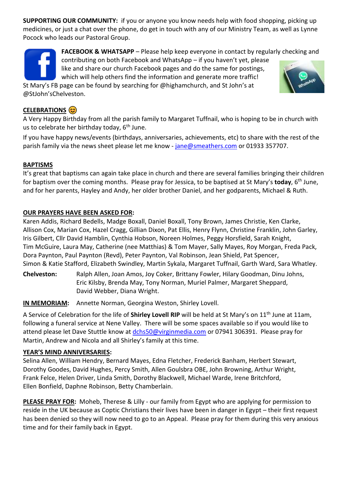**SUPPORTING OUR COMMUNITY:** if you or anyone you know needs help with food shopping, picking up medicines, or just a chat over the phone, do get in touch with any of our Ministry Team, as well as Lynne Pocock who leads our Pastoral Group.

**FACEBOOK & WHATSAPP** – Please help keep everyone in contact by regularly checking and

contributing on both Facebook and WhatsApp – if you haven't yet, please like and share our church Facebook pages and do the same for postings, which will help others find the information and generate more traffic!

St Mary's FB page can be found by searching for @highamchurch, and St John's at @StJohn'sChelveston.

#### **CELEBRATIONS**  $\circledcirc$

A Very Happy Birthday from all the parish family to Margaret Tuffnail, who is hoping to be in church with us to celebrate her birthday today,  $6<sup>th</sup>$  June.

If you have happy news/events (birthdays, anniversaries, achievements, etc) to share with the rest of the parish family via the news sheet please let me know - [jane@smeathers.com](mailto:jane@smeathers.com) or 01933 357707.

#### **BAPTISMS**

It's great that baptisms can again take place in church and there are several families bringing their children for baptism over the coming months. Please pray for Jessica, to be baptised at St Mary's today, 6<sup>th</sup> June, and for her parents, Hayley and Andy, her older brother Daniel, and her godparents, Michael & Ruth.

#### **OUR PRAYERS HAVE BEEN ASKED FOR:**

Karen Addis, Richard Bedells, Madge Boxall, Daniel Boxall, Tony Brown, James Christie, Ken Clarke, Allison Cox, Marian Cox, Hazel Cragg, Gillian Dixon, Pat Ellis, Henry Flynn, Christine Franklin, John Garley, Iris Gilbert, Cllr David Hamblin, Cynthia Hobson, Noreen Holmes, Peggy Horsfield, Sarah Knight, Tim McGuire, Laura May, Catherine (nee Matthias) & Tom Mayer, Sally Mayes, Roy Morgan, Freda Pack, Dora Paynton, Paul Paynton (Revd), Peter Paynton, Val Robinson, Jean Shield, Pat Spencer, Simon & Katie Stafford, Elizabeth Swindley, Martin Sykala, Margaret Tuffnail, Garth Ward, Sara Whatley.

**Chelveston:** Ralph Allen, Joan Amos, Joy Coker, Brittany Fowler, Hilary Goodman, Dinu Johns, Eric Kilsby, Brenda May, Tony Norman, Muriel Palmer, Margaret Sheppard, David Webber, Diana Wright.

**IN MEMORIAM:** Annette Norman, Georgina Weston, Shirley Lovell.

A Service of Celebration for the life of **Shirley Lovell RIP** will be held at St Mary's on 11th June at 11am, following a funeral service at Nene Valley. There will be some spaces available so if you would like to attend please let Dave Stuttle know at [dchs50@virginmedia.com](mailto:dchs50@virginmedia.com) or 07941 306391. Please pray for Martin, Andrew and Nicola and all Shirley's family at this time.

#### **YEAR'S MIND ANNIVERSARIES:**

Selina Allen, William Hendry, Bernard Mayes, Edna Fletcher, Frederick Banham, Herbert Stewart, Dorothy Goodes, David Hughes, Percy Smith, Allen Goulsbra OBE, John Browning, Arthur Wright, Frank Felce, Helen Driver, Linda Smith, Dorothy Blackwell, Michael Warde, Irene Britchford, Ellen Bonfield, Daphne Robinson, Betty Chamberlain.

**PLEASE PRAY FOR:** Moheb, Therese & Lilly - our family from Egypt who are applying for permission to reside in the UK because as Coptic Christians their lives have been in danger in Egypt – their first request has been denied so they will now need to go to an Appeal. Please pray for them during this very anxious time and for their family back in Egypt.

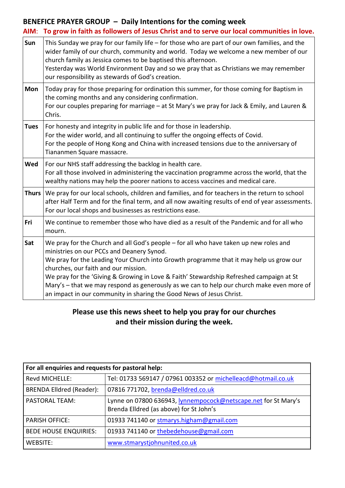#### **BENEFICE PRAYER GROUP – Daily Intentions for the coming week**

|              | AIM: To grow in faith as followers of Jesus Christ and to serve our local communities in love.                                                                                                                                                                                                                                                                                                                                                                                                                                       |
|--------------|--------------------------------------------------------------------------------------------------------------------------------------------------------------------------------------------------------------------------------------------------------------------------------------------------------------------------------------------------------------------------------------------------------------------------------------------------------------------------------------------------------------------------------------|
| Sun          | This Sunday we pray for our family life - for those who are part of our own families, and the<br>wider family of our church, community and world. Today we welcome a new member of our<br>church family as Jessica comes to be baptised this afternoon.<br>Yesterday was World Environment Day and so we pray that as Christians we may remember<br>our responsibility as stewards of God's creation.                                                                                                                                |
| Mon          | Today pray for those preparing for ordination this summer, for those coming for Baptism in<br>the coming months and any considering confirmation.<br>For our couples preparing for marriage – at St Mary's we pray for Jack & Emily, and Lauren &<br>Chris.                                                                                                                                                                                                                                                                          |
| <b>Tues</b>  | For honesty and integrity in public life and for those in leadership.<br>For the wider world, and all continuing to suffer the ongoing effects of Covid.<br>For the people of Hong Kong and China with increased tensions due to the anniversary of<br>Tiananmen Square massacre.                                                                                                                                                                                                                                                    |
| Wed          | For our NHS staff addressing the backlog in health care.<br>For all those involved in administering the vaccination programme across the world, that the<br>wealthy nations may help the poorer nations to access vaccines and medical care.                                                                                                                                                                                                                                                                                         |
| <b>Thurs</b> | We pray for our local schools, children and families, and for teachers in the return to school<br>after Half Term and for the final term, and all now awaiting results of end of year assessments.<br>For our local shops and businesses as restrictions ease.                                                                                                                                                                                                                                                                       |
| Fri          | We continue to remember those who have died as a result of the Pandemic and for all who<br>mourn.                                                                                                                                                                                                                                                                                                                                                                                                                                    |
| Sat          | We pray for the Church and all God's people - for all who have taken up new roles and<br>ministries on our PCCs and Deanery Synod.<br>We pray for the Leading Your Church into Growth programme that it may help us grow our<br>churches, our faith and our mission.<br>We pray for the 'Giving & Growing in Love & Faith' Stewardship Refreshed campaign at St<br>Mary's - that we may respond as generously as we can to help our church make even more of<br>an impact in our community in sharing the Good News of Jesus Christ. |

## **Please use this news sheet to help you pray for our churches and their mission during the week.**

| For all enquiries and requests for pastoral help: |                                                                                                           |  |  |
|---------------------------------------------------|-----------------------------------------------------------------------------------------------------------|--|--|
| <b>Revd MICHELLE:</b>                             | Tel: 01733 569147 / 07961 003352 or michelleacd@hotmail.co.uk                                             |  |  |
| <b>BRENDA Elldred (Reader):</b>                   | 07816 771702, brenda@elldred.co.uk                                                                        |  |  |
| l PASTORAL TEAM:                                  | Lynne on 07800 636943, lynnempocock@netscape.net for St Mary's<br>Brenda Elldred (as above) for St John's |  |  |
| <b>PARISH OFFICE:</b>                             | 01933 741140 or stmarys.higham@gmail.com                                                                  |  |  |
| <b>BEDE HOUSE ENQUIRIES:</b>                      | 01933 741140 or thebedehouse@gmail.com                                                                    |  |  |
| WEBSITE:                                          | www.stmarystjohnunited.co.uk                                                                              |  |  |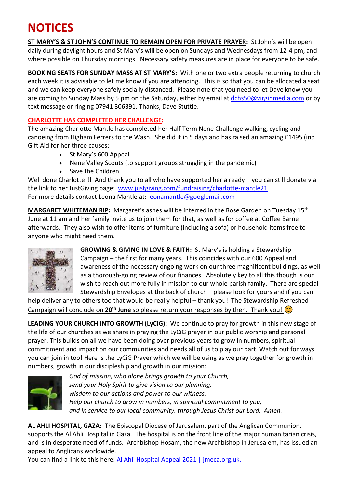# **NOTICES**

**ST MARY'S & ST JOHN'S CONTINUE TO REMAIN OPEN FOR PRIVATE PRAYER:** St John's will be open daily during daylight hours and St Mary's will be open on Sundays and Wednesdays from 12-4 pm, and where possible on Thursday mornings. Necessary safety measures are in place for everyone to be safe.

**BOOKING SEATS FOR SUNDAY MASS AT ST MARY'S:** With one or two extra people returning to church each week it is advisable to let me know if you are attending. This is so that you can be allocated a seat and we can keep everyone safely socially distanced. Please note that you need to let Dave know you are coming to Sunday Mass by 5 pm on the Saturday, either by email at [dchs50@virginmedia.com](mailto:dchs50@virginmedia.com) or by text message or ringing 07941 306391. Thanks, Dave Stuttle.

#### **CHARLOTTE HAS COMPLETED HER CHALLENGE:**

The amazing Charlotte Mantle has completed her Half Term Nene Challenge walking, cycling and canoeing from Higham Ferrers to the Wash. She did it in 5 days and has raised an amazing £1495 (inc Gift Aid for her three causes:

- St Mary's 600 Appeal
- Nene Valley Scouts (to support groups struggling in the pandemic)
- Save the Children

Well done Charlotte!!! And thank you to all who have supported her already – you can still donate via the link to her JustGiving page: [www.justgiving.com/fundraising/charlotte-mantle21](http://www.justgiving.com/fundraising/charlotte-mantle21) For more details contact Leona Mantle at: [leonamantle@googlemail.com](mailto:leonamantle@googlemail.com)

**MARGARET WHITEMAN RIP:** Margaret's ashes will be interred in the Rose Garden on Tuesday 15th June at 11 am and her family invite us to join them for that, as well as for coffee at Coffee Barne afterwards. They also wish to offer items of furniture (including a sofa) or household items free to anyone who might need them.



**GROWING & GIVING IN LOVE & FAITH:** St Mary's is holding a Stewardship Campaign – the first for many years. This coincides with our 600 Appeal and awareness of the necessary ongoing work on our three magnificent buildings, as well as a thorough-going review of our finances. Absolutely key to all this though is our wish to reach out more fully in mission to our whole parish family. There are special Stewardship Envelopes at the back of church – please look for yours and if you can

help deliver any to others too that would be really helpful – thank you! The Stewardship Refreshed Campaign will conclude on 20<sup>th</sup> June so please return your responses by then. Thank you!

**LEADING YOUR CHURCH INTO GROWTH (LyCiG):** We continue to pray for growth in this new stage of the life of our churches as we share in praying the LyCiG prayer in our public worship and personal prayer. This builds on all we have been doing over previous years to grow in numbers, spiritual commitment and impact on our communities and needs all of us to play our part. Watch out for ways you can join in too! Here is the LyCiG Prayer which we will be using as we pray together for growth in numbers, growth in our discipleship and growth in our mission:



*God of mission, who alone brings growth to your Church, send your Holy Spirit to give vision to our planning, wisdom to our actions and power to our witness. Help our church to grow in numbers, in spiritual commitment to you, and in service to our local community, through Jesus Christ our Lord. Amen.*

**AL AHLI HOSPITAL, GAZA:** The Episcopal Diocese of Jerusalem, part of the Anglican Communion, supports the Al Ahli Hospital in Gaza. The hospital is on the front line of the major humanitarian crisis, and is in desperate need of funds. Archbishop Hosam, the new Archbishop in Jerusalem, has issued an appeal to Anglicans worldwide.

You can find a link to this here: Al Ahli Hospital Appeal 2021 | [jmeca.org.uk.](https://emea01.safelinks.protection.outlook.com/?url=https%3A%2F%2Fwww.jmeca.org.uk%2Fget-involved%2Fdonate%2Fcurrent-appeals-0%2Fal-ahli-hospital-appeal-2021&data=04%7C01%7C%7Ced1c19d1648d4a0f937408d9237402eb%7C84df9e7fe9f640afb435aaaaaaaaaaaa%7C1%7C0%7C637579804017966272%7CUnknown%7CTWFpbGZsb3d8eyJWIjoiMC4wLjAwMDAiLCJQIjoiV2luMzIiLCJBTiI6Ik1haWwiLCJXVCI6Mn0%3D%7C1000&sdata=uF13ppNSqW3dS%2F05ZeUvxXiDerXexiocl%2B4DUX22u%2Fs%3D&reserved=0)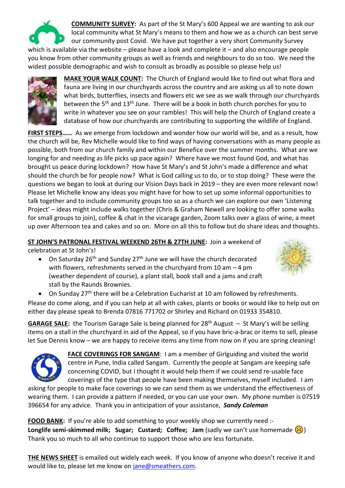

**COMMUNITY SURVEY:** As part of the St Mary's 600 Appeal we are wanting to ask our local community what St Mary's means to them and how we as a church can best serve our community post Covid. We have put together a very short Community Survey

which is available via the website – please have a look and complete it – and also encourage people you know from other community groups as well as friends and neighbours to do so too. We need the widest possible demographic and wish to consult as broadly as possible so please help us!



**MAKE YOUR WALK COUNT:** The Church of England would like to find out what flora and fauna are living in our churchyards across the country and are asking us all to note down what birds, butterflies, insects and flowers etc we see as we walk through our churchyards between the 5<sup>th</sup> and 13<sup>th</sup> June. There will be a book in both church porches for you to write in whatever you see on your rambles! This will help the Church of England create a database of how our churchyards are contributing to supporting the wildlife of England.

**FIRST STEPS……** As we emerge from lockdown and wonder how our world will be, and as a result, how the church will be, Rev Michelle would like to find ways of having conversations with as many people as possible, both from our church family and within our Benefice over the summer months. What are we longing for and needing as life picks up pace again? Where have we most found God, and what has brought us peace during lockdown? How have St Mary's and St John's made a difference and what should the church be for people now? What is God calling us to do, or to stop doing? These were the questions we began to look at during our Vision Days back in 2019 – they are even more relevant now! Please let Michelle know any ideas you might have for how to set up some informal opportunities to talk together and to include community groups too so as a church we can explore our own 'Listening Project' – ideas might include walks together (Chris & Graham Newell are looking to offer some walks for small groups to join), coffee & chat in the vicarage garden, Zoom talks over a glass of wine, a meet up over Afternoon tea and cakes and so on. More on all this to follow but do share ideas and thoughts.

**ST JOHN'S PATRONAL FESTIVAL WEEKEND 26TH & 27TH JUNE:** Join a weekend of celebration at St John's!

• On Saturday 26<sup>th</sup> and Sunday 27<sup>th</sup> June we will have the church decorated with flowers, refreshments served in the churchyard from 10 am – 4 pm (weather dependent of course), a plant stall, book stall and a jams and craft stall by the Raunds Brownies.



• On Sunday 27<sup>th</sup> there will be a Celebration Eucharist at 10 am followed by refreshments.

Please do come along, and if you can help at all with cakes, plants or books or would like to help out on either day please speak to Brenda 07816 771702 or Shirley and Richard on 01933 354810.

**GARAGE SALE:** the Tourism Garage Sale is being planned for 28th August – St Mary's will be selling items on a stall in the churchyard in aid of the Appeal, so if you have bric-a-brac or items to sell, please let Sue Dennis know – we are happy to receive items any time from now on if you are spring cleaning!



**FACE COVERINGS FOR SANGAM**: I am a member of Girlguiding and visited the world centre in Pune, India called Sangam. Currently the people at Sangam are keeping safe concerning COVID, but I thought it would help them if we could send re-usable face coverings of the type that people have been making themselves, myself included. I am

asking for people to make face coverings so we can send them as we understand the effectiveness of wearing them. I can provide a pattern if needed, or you can use your own. My phone number is 07519 396654 for any advice. Thank you in anticipation of your assistance, *Sandy Coleman*

**FOOD BANK:** If you're able to add something to your weekly shop we currently need :-Longlife semi-skimmed milk; Sugar; Custard; Coffee; Jam (sadly we can't use homemade (3) Thank you so much to all who continue to support those who are less fortunate.

**THE NEWS SHEET** is emailed out widely each week. If you know of anyone who doesn't receive it and would like to, please let me know on [jane@smeathers.com.](mailto:jane@smeathers.com)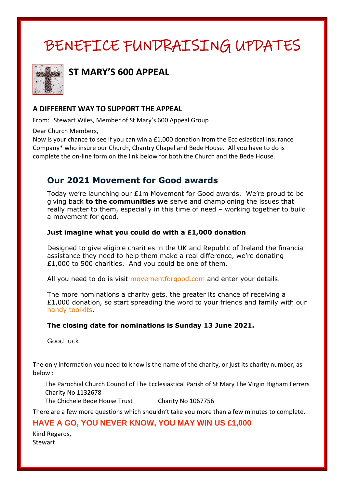# BENEFICE FUNDRAISING UPDATES



**ST MARY'S 600 APPEAL**

#### **A DIFFERENT WAY TO SUPPORT THE APPEAL**

From: Stewart Wiles, Member of St Mary's 600 Appeal Group

Dear Church Members,

Now is your chance to see if you can win a £1,000 donation from the Ecclesiastical Insurance Company\* who insure our Church, Chantry Chapel and Bede House. All you have to do is complete the on-line form on the link below for both the Church and the Bede House.

## **Our 2021 Movement for Good awards**

Today we're launching our £1m Movement for Good awards. We're proud to be giving back **to the communities we** serve and championing the issues that really matter to them, especially in this time of need – working together to build a movement for good.

#### **Just imagine what you could do with a £1,000 donation**

Designed to give eligible charities in the UK and Republic of Ireland the financial assistance they need to help them make a real difference, we're donating £1,000 to 500 charities. And you could be one of them.

All you need to do is visit [movementforgood.com](http://communicatoremail.com/In/269233764/0/U2Uxw5pycck8m4zRiUJLGMtqkX7DMc40EMJzaTEapi9/) and enter your details.

The more nominations a charity gets, the greater its chance of receiving a  $£1,000$  donation, so start spreading the word to your friends and family with our [handy toolkits.](http://communicatoremail.com/In/269233765/0/U2Uxw5pycck8m4zRiUJLGMtqkX7DMc40EMJzaTEapi9/)

#### **The closing date for nominations is Sunday 13 June 2021.**

Good luck

The only information you need to know is the name of the charity, or just its charity number, as below :

The Parochial Church Council of The Ecclesiastical Parish of St Mary The Virgin Higham Ferrers Charity No 1132678

The Chichele Bede House Trust Charity No 1067756

There are a few more questions which shouldn't take you more than a few minutes to complete.

#### **HAVE A GO, YOU NEVER KNOW, YOU MAY WIN US £1,000**

Kind Regards, Stewart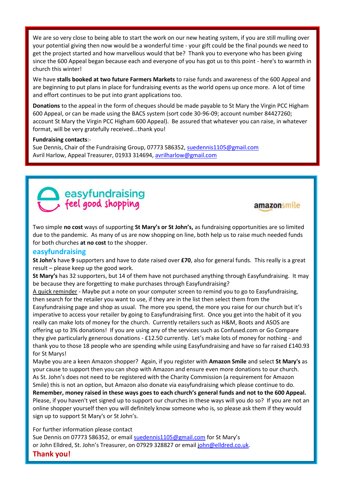We are so very close to being able to start the work on our new heating system, if you are still mulling over your potential giving then now would be a wonderful time - your gift could be the final pounds we need to get the project started and how marvellous would that be? Thank you to everyone who has been giving since the 600 Appeal began because each and everyone of you has got us to this point - here's to warmth in church this winter!

We have **stalls booked at two future Farmers Markets** to raise funds and awareness of the 600 Appeal and are beginning to put plans in place for fundraising events as the world opens up once more. A lot of time and effort continues to be put into grant applications too.

**Donations** to the appeal in the form of cheques should be made payable to St Mary the Virgin PCC Higham 600 Appeal, or can be made using the BACS system (sort code 30-96-09; account number 84427260; account St Mary the Virgin PCC Higham 600 Appeal). Be assured that whatever you can raise, in whatever format, will be very gratefully received...thank you!

#### **Fundraising contacts**:-

Sue Dennis, Chair of the Fundraising Group, 07773 586352, [suedennis1105@gmail.com](mailto:suedennis1105@gmail.com) Avril Harlow, Appeal Treasurer, 01933 314694, [avrilharlow@gmail.com](mailto:avrilharlow@gmail.com) 



#### amazonsmile

Two simple **no cost** ways of supporting **St Mary's or St John's,** as fundraising opportunities are so limited due to the pandemic. As many of us are now shopping on line, both help us to raise much needed funds for both churches **at no cost** to the shopper.

#### **easyfundraising**

**St John's** have **9** supporters and have to date raised over **£70**, also for general funds. This really is a great result – please keep up the good work.

**St Mary's** has 32 supporters, but 14 of them have not purchased anything through Easyfundraising. It may be because they are forgetting to make purchases through Easyfundraising?

A quick reminder - Maybe put a note on your computer screen to remind you to go to Easyfundraising, then search for the retailer you want to use, if they are in the list then select them from the Easyfundraising page and shop as usual. The more you spend, the more you raise for our church but it's imperative to access your retailer by going to Easyfundraising first. Once you get into the habit of it you really can make lots of money for the church. Currently retailers such as H&M, Boots and ASOS are offering up to 3% donations! If you are using any of the services such as Confused.com or Go Compare they give particularly generous donations - £12.50 currently. Let's make lots of money for nothing - and thank you to those 18 people who are spending while using Easyfundraising and have so far raised £140.93 for St Marys!

Maybe you are a keen Amazon shopper? Again, if you register with **Amazon Smile** and select **St Mary's** as your cause to support then you can shop with Amazon and ensure even more donations to our church. As St. John's does not need to be registered with the Charity Commission (a requirement for Amazon Smile) this is not an option, but Amazon also donate via easyfundraising which please continue to do. **Remember, money raised in these ways goes to each church's general funds and not to the 600 Appeal.** Please, if you haven't yet signed up to support our churches in these ways will you do so? If you are not an online shopper yourself then you will definitely know someone who is, so please ask them if they would sign up to support St Mary's or St John's.

For further information please contact

Sue Dennis on 07773 586352, or email [suedennis1105@gmail.com](mailto:suedennis1105@gmail.com) for St Mary's or John Elldred, St. John's Treasurer, on 07929 328827 or email [john@elldred.co.uk.](mailto:john@elldred.co.uk)

#### **Thank you!**